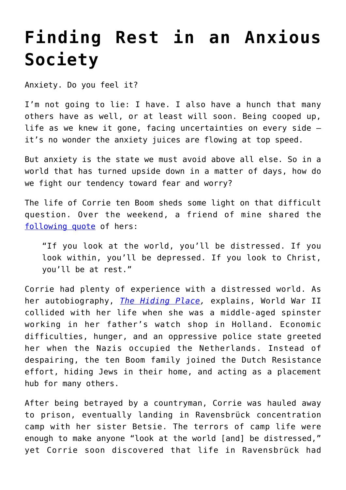## **[Finding Rest in an Anxious](https://intellectualtakeout.org/2020/04/finding-rest-in-an-anxious-society/) [Society](https://intellectualtakeout.org/2020/04/finding-rest-in-an-anxious-society/)**

Anxiety. Do you feel it?

I'm not going to lie: I have. I also have a hunch that many others have as well, or at least will soon. Being cooped up, life as we knew it gone, facing uncertainties on every side – it's no wonder the anxiety juices are flowing at top speed.

But anxiety is the state we must avoid above all else. So in a world that has turned upside down in a matter of days, how do we fight our tendency toward fear and worry?

The life of Corrie ten Boom sheds some light on that difficult question. Over the weekend, a friend of mine shared the [following quote](https://books.google.com/books?id=jPEQBwAAQBAJ&pg=PT106&lpg=PT106&dq=If+you+look+at+the+world,+you%27ll+be+distressed.+If+you+look+within,+you%27ll+be+depressed.+If+you+look+at+God+you%27ll+be+at+rest.&source=bl&ots=oU47XO7W5E&sig=ACfU3U249fHQBnD5pL8pN-nroMATfoc4hQ&hl=en&sa=X&ved=2ahUKEwj81byeztToAhUbHc0KHZobAOg4ChDoATABegQIDBAo#v=onepage&q&f=false) of hers:

"If you look at the world, you'll be distressed. If you look within, you'll be depressed. If you look to Christ, you'll be at rest."

Corrie had plenty of experience with a distressed world. As her autobiography, *[The Hiding Place,](https://www.amazon.com/gp/product/B00QPH7OOC/ref=as_li_qf_asin_il_tl?ie=UTF8&tag=intelltakeo0d-20&creative=9325&linkCode=as2&creativeASIN=B00QPH7OOC&linkId=c02d9ebf883127e003d13ae69515a267)* explains, World War II collided with her life when she was a middle-aged spinster working in her father's watch shop in Holland. Economic difficulties, hunger, and an oppressive police state greeted her when the Nazis occupied the Netherlands. Instead of despairing, the ten Boom family joined the Dutch Resistance effort, hiding Jews in their home, and acting as a placement hub for many others.

After being betrayed by a countryman, Corrie was hauled away to prison, eventually landing in Ravensbrück concentration camp with her sister Betsie. The terrors of camp life were enough to make anyone "look at the world [and] be distressed," yet Corrie soon discovered that life in Ravensbrück had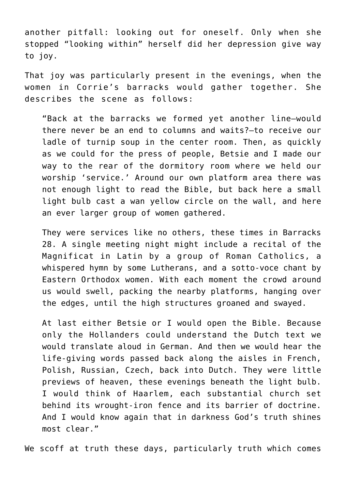another pitfall: looking out for oneself. Only when she stopped "looking within" herself did her depression give way to joy.

That joy was particularly present in the evenings, when the women in Corrie's barracks would gather together. She describes the scene as follows:

"Back at the barracks we formed yet another line—would there never be an end to columns and waits?—to receive our ladle of turnip soup in the center room. Then, as quickly as we could for the press of people, Betsie and I made our way to the rear of the dormitory room where we held our worship 'service.' Around our own platform area there was not enough light to read the Bible, but back here a small light bulb cast a wan yellow circle on the wall, and here an ever larger group of women gathered.

They were services like no others, these times in Barracks 28. A single meeting night might include a recital of the Magnificat in Latin by a group of Roman Catholics, a whispered hymn by some Lutherans, and a sotto-voce chant by Eastern Orthodox women. With each moment the crowd around us would swell, packing the nearby platforms, hanging over the edges, until the high structures groaned and swayed.

At last either Betsie or I would open the Bible. Because only the Hollanders could understand the Dutch text we would translate aloud in German. And then we would hear the life-giving words passed back along the aisles in French, Polish, Russian, Czech, back into Dutch. They were little previews of heaven, these evenings beneath the light bulb. I would think of Haarlem, each substantial church set behind its wrought-iron fence and its barrier of doctrine. And I would know again that in darkness God's truth shines most clear."

We scoff at truth these days, particularly truth which comes